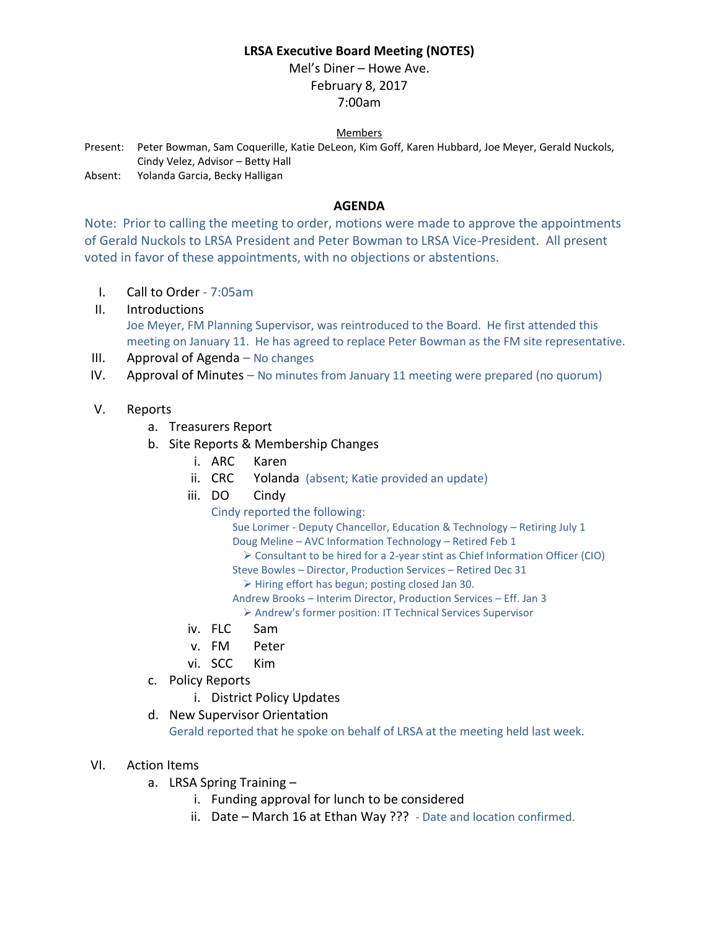# **LRSA Executive Board Meeting (NOTES)**

Mel's Diner – Howe Ave. February 8, 2017 7:00am

### Members

Present: Peter Bowman, Sam Coquerille, Katie DeLeon, Kim Goff, Karen Hubbard, Joe Meyer, Gerald Nuckols, Cindy Velez, Advisor – Betty Hall

Absent: Yolanda Garcia, Becky Halligan

### **AGENDA**

Note: Prior to calling the meeting to order, motions were made to approve the appointments of Gerald Nuckols to LRSA President and Peter Bowman to LRSA Vice-President. All present voted in favor of these appointments, with no objections or abstentions.

- I. Call to Order 7:05am
- II. Introductions Joe Meyer, FM Planning Supervisor, was reintroduced to the Board. He first attended this meeting on January 11. He has agreed to replace Peter Bowman as the FM site representative.
- III. Approval of Agenda No changes
- IV. Approval of Minutes No minutes from January 11 meeting were prepared (no quorum)
- V. Reports
	- a. Treasurers Report
	- b. Site Reports & Membership Changes
		- i. ARC Karen
		- ii. CRC Yolanda (absent; Katie provided an update)
		- iii. DO Cindy
			- Cindy reported the following:

Sue Lorimer - Deputy Chancellor, Education & Technology – Retiring July 1 Doug Meline – AVC Information Technology – Retired Feb 1

Consultant to be hired for a 2-year stint as Chief Information Officer (CIO)

Steve Bowles – Director, Production Services – Retired Dec 31

 $\triangleright$  Hiring effort has begun; posting closed Jan 30.

Andrew Brooks – Interim Director, Production Services – Eff. Jan 3

Andrew's former position: IT Technical Services Supervisor

- iv. FLC Sam
- v. FM Peter
- vi. SCC Kim
- c. Policy Reports
	- i. District Policy Updates
- d. New Supervisor Orientation Gerald reported that he spoke on behalf of LRSA at the meeting held last week.
- VI. Action Items
	- a. LRSA Spring Training
		- i. Funding approval for lunch to be considered
		- ii. Date March 16 at Ethan Way ??? Date and location confirmed.